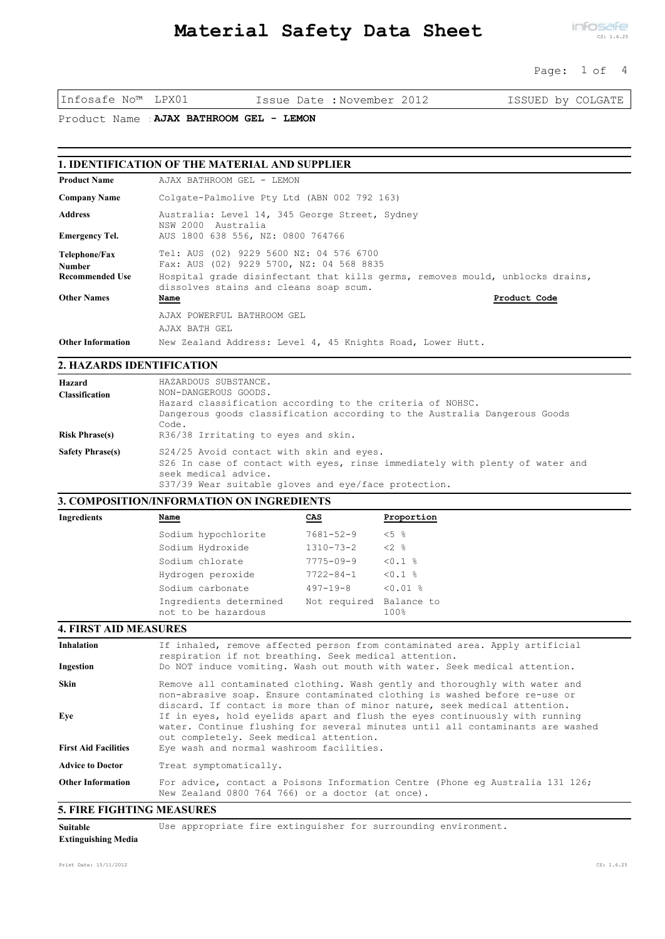### Page: 1 of 4

Infosafe No™ LPX01 Issue Date :November 2012 ISSUED by COLGATE

Product Name :**AJAX BATHROOM GEL - LEMON**

## **1. IDENTIFICATION OF THE MATERIAL AND SUPPLIER**

| <b>Product Name</b>            | AJAX BATHROOM GEL - LEMON                                                                                               |
|--------------------------------|-------------------------------------------------------------------------------------------------------------------------|
| <b>Company Name</b>            | Colgate-Palmolive Pty Ltd (ABN 002 792 163)                                                                             |
| <b>Address</b>                 | Australia: Level 14, 345 George Street, Sydney<br>NSW 2000<br>Australia                                                 |
| <b>Emergency Tel.</b>          | AUS 1800 638 556, NZ: 0800 764766                                                                                       |
| Telephone/Fax<br><b>Number</b> | Tel: AUS (02) 9229 5600 NZ: 04 576 6700<br>Fax: AUS (02) 9229 5700, NZ: 04 568 8835                                     |
| <b>Recommended Use</b>         | Hospital grade disinfectant that kills germs, removes mould, unblocks drains,<br>dissolves stains and cleans soap scum. |
| <b>Other Names</b>             | Product Code<br>Name                                                                                                    |
|                                | AJAX POWERFUL BATHROOM GEL<br>AJAX BATH GEL                                                                             |
| <b>Other Information</b>       | New Zealand Address: Level 4, 45 Knights Road, Lower Hutt.                                                              |

## **2. HAZARDS IDENTIFICATION**

| Hazard<br><b>Classification</b><br><b>Risk Phrase(s)</b> | HAZARDOUS SUBSTANCE.<br>NON-DANGEROUS GOODS.<br>Hazard classification according to the criteria of NOHSC.<br>Dangerous goods classification according to the Australia Dangerous Goods<br>Code.<br>R36/38 Irritating to eyes and skin. |
|----------------------------------------------------------|----------------------------------------------------------------------------------------------------------------------------------------------------------------------------------------------------------------------------------------|
| <b>Safety Phrase(s)</b>                                  | S24/25 Avoid contact with skin and eyes.<br>S26 In case of contact with eyes, rinse immediately with plenty of water and<br>seek medical advice.<br>S37/39 Wear suitable gloves and eye/face protection.                               |

# **3. COMPOSITION/INFORMATION ON INGREDIENTS**

| <b>Ingredients</b> | Name                                          | CAS                     | Proportion         |
|--------------------|-----------------------------------------------|-------------------------|--------------------|
|                    | Sodium hypochlorite                           | $7681 - 52 - 9$         | $< 5$ $\approx$    |
|                    | Sodium Hydroxide                              | $1310 - 73 - 2$         | $<2$ $>$           |
|                    | Sodium chlorate                               | $7775 - 09 - 9$         | $< 0.1$ %          |
|                    | Hydrogen peroxide                             | $7722 - 84 - 1$         | $< 0.1$ %          |
|                    | Sodium carbonate                              | $497 - 19 - 8$          | $< 0.01$ $\approx$ |
|                    | Ingredients determined<br>not to be hazardous | Not required Balance to | 100%               |

## **4. FIRST AID MEASURES**

| <b>Inhalation</b><br>Ingestion | If inhaled, remove affected person from contaminated area. Apply artificial<br>respiration if not breathing. Seek medical attention.<br>Do NOT induce vomiting. Wash out mouth with water. Seek medical attention.                     |
|--------------------------------|----------------------------------------------------------------------------------------------------------------------------------------------------------------------------------------------------------------------------------------|
| <b>Skin</b>                    | Remove all contaminated clothing. Wash gently and thoroughly with water and<br>non-abrasive soap. Ensure contaminated clothing is washed before re-use or<br>discard. If contact is more than of minor nature, seek medical attention. |
| Eye                            | If in eyes, hold eyelids apart and flush the eyes continuously with running<br>water. Continue flushing for several minutes until all contaminants are washed<br>out completely. Seek medical attention.                               |
| <b>First Aid Facilities</b>    | Eye wash and normal washroom facilities.                                                                                                                                                                                               |
| <b>Advice to Doctor</b>        | Treat symptomatically.                                                                                                                                                                                                                 |
| <b>Other Information</b>       | For advice, contact a Poisons Information Centre (Phone eq Australia 131 126;<br>New Zealand 0800 764 766) or a doctor (at once).                                                                                                      |
|                                |                                                                                                                                                                                                                                        |

## **5. FIRE FIGHTING MEASURES**

| Suitable |  |  |  | Use appropriate fire extinguisher for surrounding environment. |  |  |  |  |
|----------|--|--|--|----------------------------------------------------------------|--|--|--|--|
|----------|--|--|--|----------------------------------------------------------------|--|--|--|--|

**Extinguishing Media**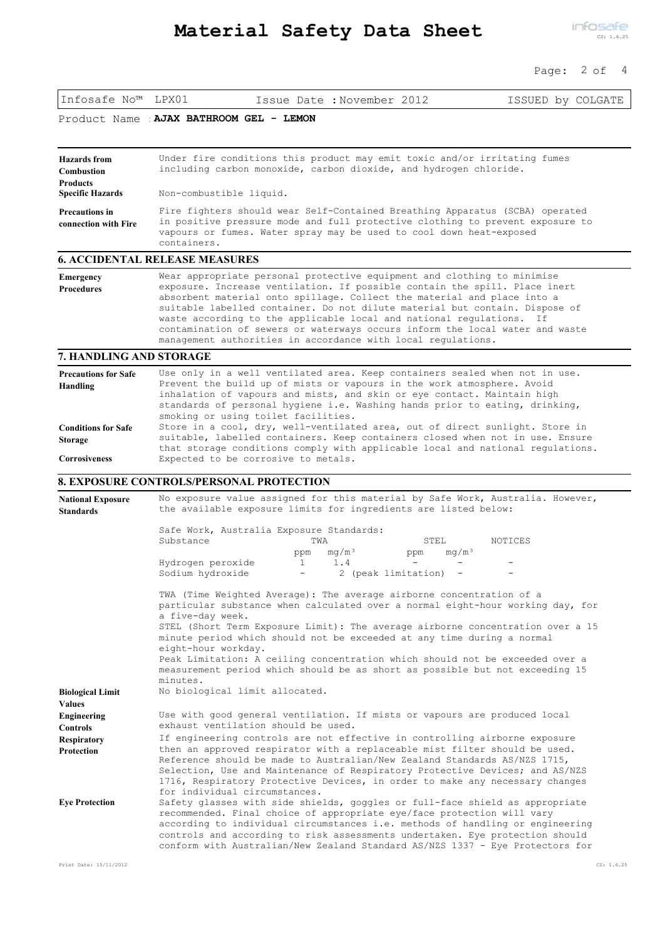|                                                                                        | Material Safety Data Sheet                                                                                                                                                                                                                                                                                                                                                                                                                                                                                                                | infosafe<br>CS: 1.6.25       |
|----------------------------------------------------------------------------------------|-------------------------------------------------------------------------------------------------------------------------------------------------------------------------------------------------------------------------------------------------------------------------------------------------------------------------------------------------------------------------------------------------------------------------------------------------------------------------------------------------------------------------------------------|------------------------------|
|                                                                                        |                                                                                                                                                                                                                                                                                                                                                                                                                                                                                                                                           | Page: $2$ of $4$             |
| Infosafe No™ LPX01                                                                     | Issue Date: November 2012                                                                                                                                                                                                                                                                                                                                                                                                                                                                                                                 | ISSUED by COLGATE            |
|                                                                                        | Product Name AJAX BATHROOM GEL - LEMON                                                                                                                                                                                                                                                                                                                                                                                                                                                                                                    |                              |
| <b>Hazards</b> from<br><b>Combustion</b><br><b>Products</b><br><b>Specific Hazards</b> | Under fire conditions this product may emit toxic and/or irritating fumes<br>including carbon monoxide, carbon dioxide, and hydrogen chloride.<br>Non-combustible liquid.                                                                                                                                                                                                                                                                                                                                                                 |                              |
| <b>Precautions in</b><br>connection with Fire                                          | Fire fighters should wear Self-Contained Breathing Apparatus (SCBA) operated<br>in positive pressure mode and full protective clothing to prevent exposure to<br>vapours or fumes. Water spray may be used to cool down heat-exposed<br>containers.                                                                                                                                                                                                                                                                                       |                              |
|                                                                                        | <b>6. ACCIDENTAL RELEASE MEASURES</b>                                                                                                                                                                                                                                                                                                                                                                                                                                                                                                     |                              |
| <b>Emergency</b><br><b>Procedures</b>                                                  | Wear appropriate personal protective equipment and clothing to minimise<br>exposure. Increase ventilation. If possible contain the spill. Place inert<br>absorbent material onto spillage. Collect the material and place into a<br>suitable labelled container. Do not dilute material but contain. Dispose of<br>waste according to the applicable local and national regulations. If<br>contamination of sewers or waterways occurs inform the local water and waste<br>management authorities in accordance with local regulations.   |                              |
| 7. HANDLING AND STORAGE                                                                |                                                                                                                                                                                                                                                                                                                                                                                                                                                                                                                                           |                              |
| <b>Precautions for Safe</b><br><b>Handling</b>                                         | Use only in a well ventilated area. Keep containers sealed when not in use.<br>Prevent the build up of mists or vapours in the work atmosphere. Avoid<br>inhalation of vapours and mists, and skin or eye contact. Maintain high<br>standards of personal hygiene i.e. Washing hands prior to eating, drinking,<br>smoking or using toilet facilities.                                                                                                                                                                                    |                              |
| <b>Conditions for Safe</b><br><b>Storage</b><br><b>Corrosiveness</b>                   | Store in a cool, dry, well-ventilated area, out of direct sunlight. Store in<br>suitable, labelled containers. Keep containers closed when not in use. Ensure<br>that storage conditions comply with applicable local and national regulations.<br>Expected to be corrosive to metals.                                                                                                                                                                                                                                                    |                              |
|                                                                                        | <b>8. EXPOSURE CONTROLS/PERSONAL PROTECTION</b>                                                                                                                                                                                                                                                                                                                                                                                                                                                                                           |                              |
| <b>National Exposure</b><br><b>Standards</b>                                           | No exposure value assigned for this material by Safe Work, Australia. However,<br>the available exposure limits for ingredients are listed below:                                                                                                                                                                                                                                                                                                                                                                                         |                              |
|                                                                                        | Safe Work, Australia Exposure Standards:<br>Substance<br>TWA<br>STEL<br>mq/m <sup>3</sup><br>ppm<br>ppm<br>Hydrogen peroxide<br>1.4<br>$\mathbf{1}$<br>Sodium hydroxide<br>2 (peak limitation) -<br>$\overline{\phantom{a}}$                                                                                                                                                                                                                                                                                                              | NOTICES<br>mq/m <sup>3</sup> |
|                                                                                        | TWA (Time Weighted Average): The average airborne concentration of a<br>particular substance when calculated over a normal eight-hour working day, for<br>a five-day week.<br>STEL (Short Term Exposure Limit): The average airborne concentration over a 15<br>minute period which should not be exceeded at any time during a normal<br>eight-hour workday.<br>Peak Limitation: A ceiling concentration which should not be exceeded over a<br>measurement period which should be as short as possible but not exceeding 15<br>minutes. |                              |
| <b>Biological Limit</b><br><b>Values</b>                                               | No biological limit allocated.                                                                                                                                                                                                                                                                                                                                                                                                                                                                                                            |                              |
| Engineering<br><b>Controls</b>                                                         | Use with good general ventilation. If mists or vapours are produced local<br>exhaust ventilation should be used.                                                                                                                                                                                                                                                                                                                                                                                                                          |                              |
| <b>Respiratory</b><br>Protection                                                       | If engineering controls are not effective in controlling airborne exposure<br>then an approved respirator with a replaceable mist filter should be used.<br>Reference should be made to Australian/New Zealand Standards AS/NZS 1715,<br>Selection, Use and Maintenance of Respiratory Protective Devices; and AS/NZS<br>1716, Respiratory Protective Devices, in order to make any necessary changes<br>for individual circumstances.                                                                                                    |                              |
| <b>Eye Protection</b>                                                                  | Safety glasses with side shields, goggles or full-face shield as appropriate<br>recommended. Final choice of appropriate eye/face protection will vary<br>according to individual circumstances i.e. methods of handling or engineering                                                                                                                                                                                                                                                                                                   |                              |

controls and according to risk assessments undertaken. Eye protection should conform with Australian/New Zealand Standard AS/NZS 1337 - Eye Protectors for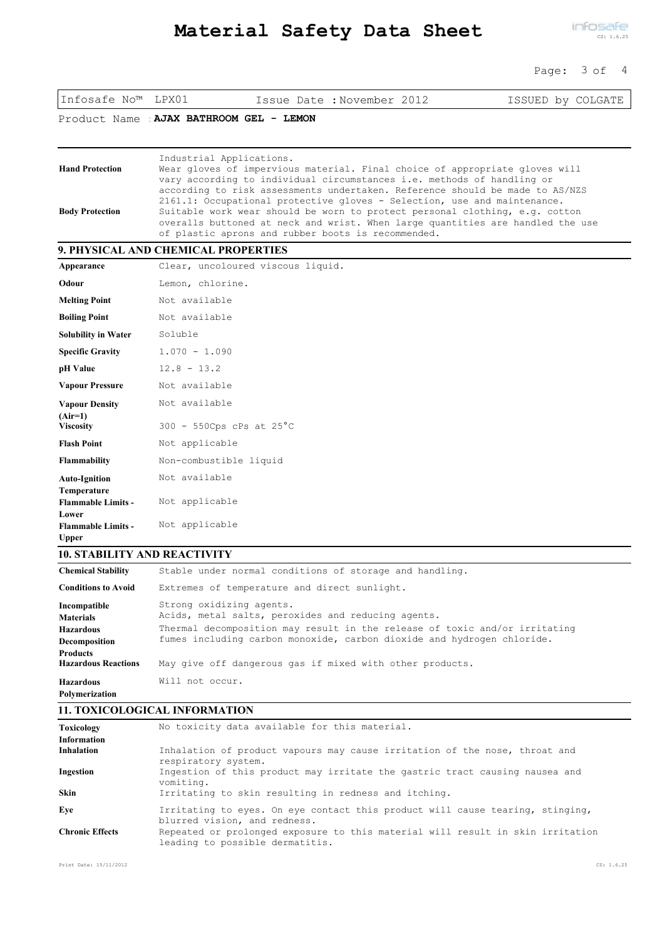### Page: 3 of 4

| Infosafe No™                              | LPX01                                                                                                                                                                                                                                                                                                                                                                           | Issue Date : November 2012 | ISSUED by COLGATE |  |  |  |
|-------------------------------------------|---------------------------------------------------------------------------------------------------------------------------------------------------------------------------------------------------------------------------------------------------------------------------------------------------------------------------------------------------------------------------------|----------------------------|-------------------|--|--|--|
| Product Name                              | AJAX BATHROOM GEL - LEMON                                                                                                                                                                                                                                                                                                                                                       |                            |                   |  |  |  |
| <b>Hand Protection</b>                    | Industrial Applications.<br>Wear gloves of impervious material. Final choice of appropriate gloves will<br>vary according to individual circumstances i.e. methods of handling or                                                                                                                                                                                               |                            |                   |  |  |  |
| <b>Body Protection</b>                    | according to risk assessments undertaken. Reference should be made to AS/NZS<br>2161.1: Occupational protective gloves - Selection, use and maintenance.<br>Suitable work wear should be worn to protect personal clothing, e.g. cotton<br>overalls buttoned at neck and wrist. When large quantities are handled the use<br>of plastic aprons and rubber boots is recommended. |                            |                   |  |  |  |
|                                           | 9. PHYSICAL AND CHEMICAL PROPERTIES                                                                                                                                                                                                                                                                                                                                             |                            |                   |  |  |  |
| Appearance                                | Clear, uncoloured viscous liquid.                                                                                                                                                                                                                                                                                                                                               |                            |                   |  |  |  |
| Odour                                     | Lemon, chlorine.                                                                                                                                                                                                                                                                                                                                                                |                            |                   |  |  |  |
| <b>Melting Point</b>                      | Not available                                                                                                                                                                                                                                                                                                                                                                   |                            |                   |  |  |  |
| <b>Boiling Point</b>                      | Not available                                                                                                                                                                                                                                                                                                                                                                   |                            |                   |  |  |  |
| <b>Solubility in Water</b>                | Soluble                                                                                                                                                                                                                                                                                                                                                                         |                            |                   |  |  |  |
| <b>Specific Gravity</b>                   | $1.070 - 1.090$                                                                                                                                                                                                                                                                                                                                                                 |                            |                   |  |  |  |
| pH Value                                  | $12.8 - 13.2$                                                                                                                                                                                                                                                                                                                                                                   |                            |                   |  |  |  |
| <b>Vapour Pressure</b>                    | Not available                                                                                                                                                                                                                                                                                                                                                                   |                            |                   |  |  |  |
| <b>Vapour Density</b><br>$(Air=1)$        | Not available                                                                                                                                                                                                                                                                                                                                                                   |                            |                   |  |  |  |
| <b>Viscosity</b>                          | $300 - 550Cps$ cPs at $25^{\circ}C$                                                                                                                                                                                                                                                                                                                                             |                            |                   |  |  |  |
| <b>Flash Point</b>                        | Not applicable                                                                                                                                                                                                                                                                                                                                                                  |                            |                   |  |  |  |
| Flammability                              | Non-combustible liquid                                                                                                                                                                                                                                                                                                                                                          |                            |                   |  |  |  |
| <b>Auto-Ignition</b><br>Temperature       | Not available                                                                                                                                                                                                                                                                                                                                                                   |                            |                   |  |  |  |
| <b>Flammable Limits -</b><br>Lower        | Not applicable                                                                                                                                                                                                                                                                                                                                                                  |                            |                   |  |  |  |
| <b>Flammable Limits -</b><br><b>Upper</b> | Not applicable                                                                                                                                                                                                                                                                                                                                                                  |                            |                   |  |  |  |

# **10. STABILITY AND REACTIVITY**

| <b>Chemical Stability</b>                     | Stable under normal conditions of storage and handling.                                                                                              |
|-----------------------------------------------|------------------------------------------------------------------------------------------------------------------------------------------------------|
| <b>Conditions to Avoid</b>                    | Extremes of temperature and direct sunlight.                                                                                                         |
| Incompatible<br><b>Materials</b>              | Strong oxidizing agents.<br>Acids, metal salts, peroxides and reducing agents.                                                                       |
| <b>Hazardous</b><br>Decomposition             | Thermal decomposition may result in the release of toxic and/or irritating<br>fumes including carbon monoxide, carbon dioxide and hydrogen chloride. |
| <b>Products</b><br><b>Hazardous Reactions</b> | May give off dangerous gas if mixed with other products.                                                                                             |
| <b>Hazardous</b>                              | Will not occur.                                                                                                                                      |
| Polymerization                                |                                                                                                                                                      |

## **11. TOXICOLOGICAL INFORMATION**

| <b>Toxicology</b>      | No toxicity data available for this material.                                                                     |
|------------------------|-------------------------------------------------------------------------------------------------------------------|
| <b>Information</b>     |                                                                                                                   |
| <b>Inhalation</b>      | Inhalation of product vapours may cause irritation of the nose, throat and<br>respiratory system.                 |
| Ingestion              | Ingestion of this product may irritate the gastric tract causing nausea and<br>vomiting.                          |
| Skin                   | Irritating to skin resulting in redness and itching.                                                              |
| Eve                    | Irritating to eyes. On eye contact this product will cause tearing, stinging,<br>blurred vision, and redness.     |
| <b>Chronic Effects</b> | Repeated or prolonged exposure to this material will result in skin irritation<br>leading to possible dermatitis. |